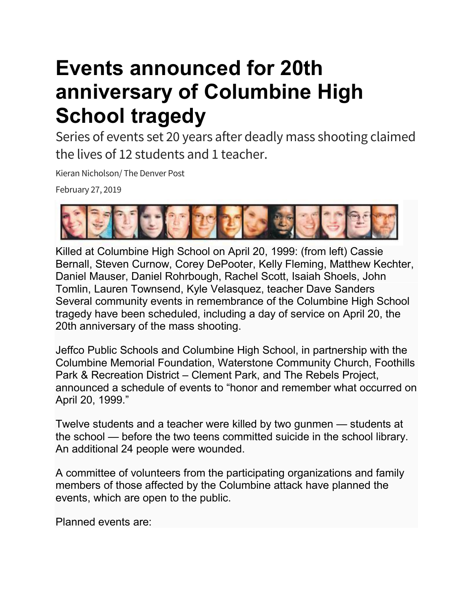## **Events announced for 20th anniversary of Columbine High School tragedy**

Series of events set 20 years after deadly mass shooting claimed the lives of 12 students and 1 teacher.

Kieran Nicholson/ The Denver Post

February 27, 2019



Killed at Columbine High School on April 20, 1999: (from left) Cassie Bernall, Steven Curnow, Corey DePooter, Kelly Fleming, Matthew Kechter, Daniel Mauser, Daniel Rohrbough, Rachel Scott, Isaiah Shoels, John Tomlin, Lauren Townsend, Kyle Velasquez, teacher Dave Sanders Several community events in remembrance of the Columbine High School tragedy have been scheduled, including a day of service on April 20, the 20th anniversary of the mass shooting.

Jeffco Public Schools and Columbine High School, in partnership with the Columbine Memorial Foundation, Waterstone Community Church, Foothills Park & Recreation District – Clement Park, and The Rebels Project, announced a schedule of events to "honor and remember what occurred on April 20, 1999."

Twelve students and a teacher were killed by two gunmen — students at the school — before the two teens committed suicide in the school library. An additional 24 people were wounded.

A committee of volunteers from the participating organizations and family members of those affected by the Columbine attack have planned the events, which are open to the public.

Planned events are: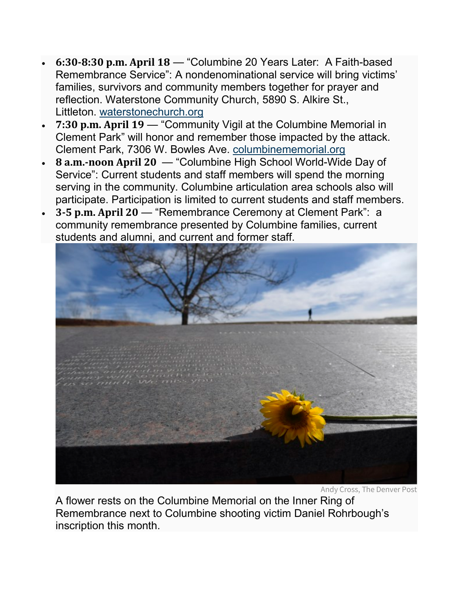- **6:30-8:30 p.m. April 18** "Columbine 20 Years Later: A Faith-based Remembrance Service": A nondenominational service will bring victims' families, survivors and community members together for prayer and reflection. Waterstone Community Church, 5890 S. Alkire St., Littleton. [waterstonechurch.org](http://waterstonechurch.org/)
- **7:30 p.m. April 19** "Community Vigil at the Columbine Memorial in Clement Park" will honor and remember those impacted by the attack. Clement Park, 7306 W. Bowles Ave. [columbinememorial.org](http://columbinememorial.org/)
- **8 a.m.-noon April 20** "Columbine High School World-Wide Day of Service": Current students and staff members will spend the morning serving in the community. Columbine articulation area schools also will participate. Participation is limited to current students and staff members.
- **3-5 p.m. April 20** "Remembrance Ceremony at Clement Park": a community remembrance presented by Columbine families, current students and alumni, and current and former staff.



Andy Cross, The Denver Post

A flower rests on the Columbine Memorial on the Inner Ring of Remembrance next to Columbine shooting victim Daniel Rohrbough's inscription this month.